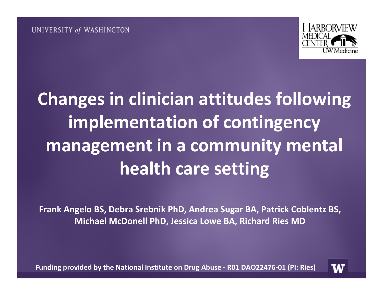

## **Changes in clinician attitudes following implementation of contingency management in <sup>a</sup> community mental health care setting**

**Frank Angelo BS, Debra Srebnik PhD, Andrea Sugar BA, Patrick Coblentz BS, Michael McDonell PhD, Jessica Lowe BA, Richard Ries MD**

**Funding provided by the National Institute on Drug Abuse ‐ R01 DAO22476‐01 (PI: Ries)**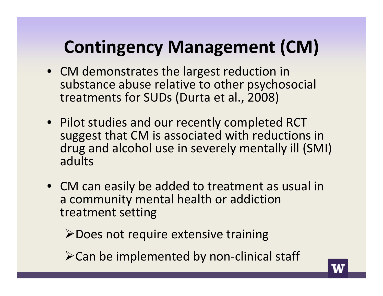### **Contingency Management (CM)**

- CM demonstrates the largest reduction in substance abuse relative to other psychosocial treatments for SUDs (Durta et al., 2008)
- Pilot studies and our recently completed RCT suggest that CM is associated with reductions in drug and alcohol use in severely mentally ill (SMI) adults
- CM can easily be added to treatment as usual in a community mental health or addiction treatment setting

>Does not require extensive training

Can be implemented by non‐clinical staff

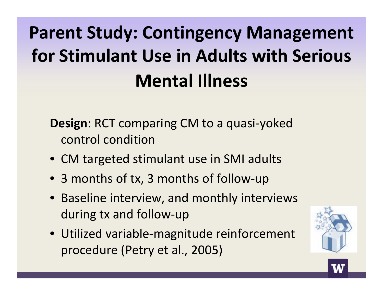# **Parent Study: Contingency Management for Stimulant Use in Adults with Serious Mental Illness**

**Design**: RCT comparing CM to <sup>a</sup> quasi‐yoked control condition

- CM targeted stimulant use in SMI adults
- 3 months of tx, 3 months of follow‐up
- Baseline interview, and monthly interviews during tx and follow‐up
- Utilized variable‐magnitude reinforcement procedure (Petry et al., 2005)

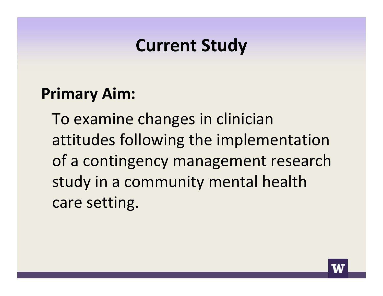#### **Current Study**

#### **Primary Aim:**

To examine changes in clinician attitudes following the implementation of a contingency management research study in <sup>a</sup> community mental health care setting.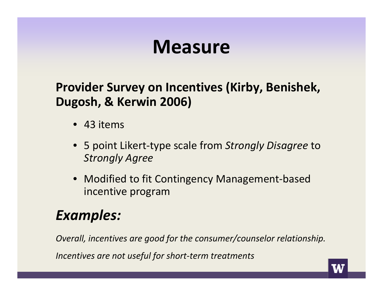#### **Measure**

#### **Provider Survey on Incentives (Kirby, Benishek, Dugosh, & Kerwin 2006)**

- 43 items
- 5 point Likert‐type scale from *Strongly Disagree* to *Strongly Agree*
- Modified to fit Contingency Management‐based incentive program

#### *Examples:*

*Overall, incentives are good for the consumer/counselor relationship. Incentives are not useful for short‐term treatments*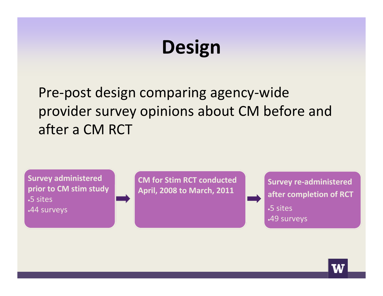## **Design**

#### Pre‐post design comparing agency‐wide provider survey opinions about CM before and after a CM RCT

**Survey administered prior to CM stim study** 5 sites 44 surveys

**CM for Stim RCT conducted April, 2008 to March, 2011**

**Survey re‐administered after completion of RCT** 5 sites 49 surveys

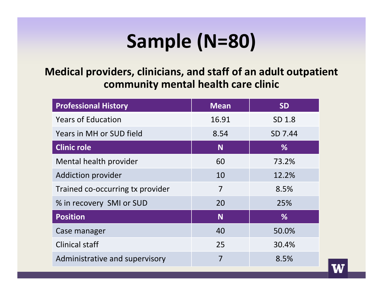# **Sample (N=80)**

#### **Medical providers, clinicians, and staff of an adult outpatient community mental health care clinic**

| <b>Professional History</b>      | <b>Mean</b> | <b>SD</b> |
|----------------------------------|-------------|-----------|
| <b>Years of Education</b>        | 16.91       | SD 1.8    |
| Years in MH or SUD field         | 8.54        | SD 7.44   |
| <b>Clinic role</b>               | <b>N</b>    | %         |
| Mental health provider           | 60          | 73.2%     |
| <b>Addiction provider</b>        | 10          | 12.2%     |
| Trained co-occurring tx provider | 7           | 8.5%      |
| % in recovery SMI or SUD         | 20          | 25%       |
| <b>Position</b>                  | <b>N</b>    | $\%$      |
| Case manager                     | 40          | 50.0%     |
| <b>Clinical staff</b>            | 25          | 30.4%     |
| Administrative and supervisory   | 7           | 8.5%      |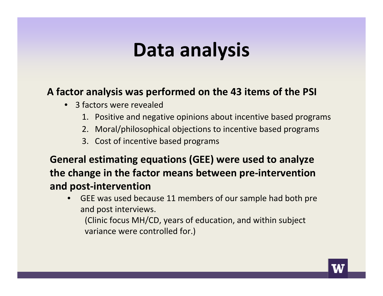### **Data analysis**

#### **A factor analysis was performed on the 43 items of the PSI**

- 3 factors were revealed
	- 1. Positive and negative opinions about incentive based programs
	- 2. Moral/philosophical objections to incentive based programs
	- 3. Cost of incentive based programs

**General estimating equations (GEE) were used to analyze the change in the factor means between pre‐intervention and post‐intervention**

• GEE was used because 11 members of our sample had both pre and post interviews.

(Clinic focus MH/CD, years of education, and within subject variance were controlled for.)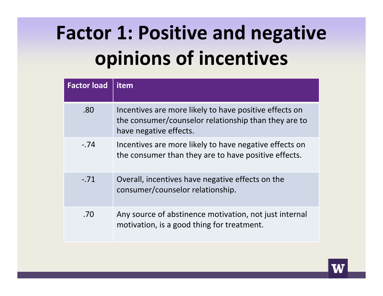# **Factor 1: Positive and negative opinions of incentives**

| <b>Factor load</b> | item                                                                                                                                     |
|--------------------|------------------------------------------------------------------------------------------------------------------------------------------|
| .80                | Incentives are more likely to have positive effects on<br>the consumer/counselor relationship than they are to<br>have negative effects. |
| $-.74$             | Incentives are more likely to have negative effects on<br>the consumer than they are to have positive effects.                           |
| $-.71$             | Overall, incentives have negative effects on the<br>consumer/counselor relationship.                                                     |
| .70                | Any source of abstinence motivation, not just internal<br>motivation, is a good thing for treatment.                                     |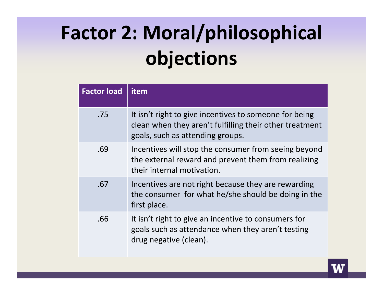# **Factor 2: Moral/philosophical objections**

| <b>Factor load</b> | item                                                                                                                                                  |
|--------------------|-------------------------------------------------------------------------------------------------------------------------------------------------------|
| .75                | It isn't right to give incentives to someone for being<br>clean when they aren't fulfilling their other treatment<br>goals, such as attending groups. |
| .69                | Incentives will stop the consumer from seeing beyond<br>the external reward and prevent them from realizing<br>their internal motivation.             |
| .67                | Incentives are not right because they are rewarding<br>the consumer for what he/she should be doing in the<br>first place.                            |
| .66                | It isn't right to give an incentive to consumers for<br>goals such as attendance when they aren't testing<br>drug negative (clean).                   |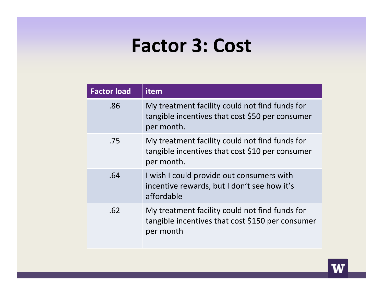#### **Factor 3: Cost**

| <b>Factor load</b> | item                                                                                                            |
|--------------------|-----------------------------------------------------------------------------------------------------------------|
| .86                | My treatment facility could not find funds for<br>tangible incentives that cost \$50 per consumer<br>per month. |
| .75                | My treatment facility could not find funds for<br>tangible incentives that cost \$10 per consumer<br>per month. |
| .64                | I wish I could provide out consumers with<br>incentive rewards, but I don't see how it's<br>affordable          |
| .62                | My treatment facility could not find funds for<br>tangible incentives that cost \$150 per consumer<br>per month |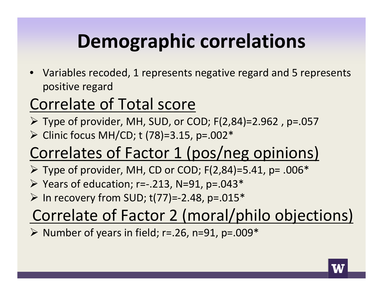# **Demographic correlations**

• Variables recoded, 1 represents negative regard and 5 represents positive regard

#### Correlate of Total score

- Type of provider, MH, SUD, or COD; F(2,84)=2.962 , p=.057
- Clinic focus MH/CD; <sup>t</sup> (78)=3.15, p=.002\*

#### Correlates of Factor 1 (pos/neg opinions)

- $\triangleright$  Type of provider, MH, CD or COD; F(2,84)=5.41, p= .006\*
- Years of education; r=‐.213, N=91, p=.043\*
- $\triangleright$  In recovery from SUD; t(77)=-2.48, p=.015\*
- Correlate of Factor 2 (moral/philo objections)

 $\triangleright$  Number of years in field; r=.26, n=91, p=.009\*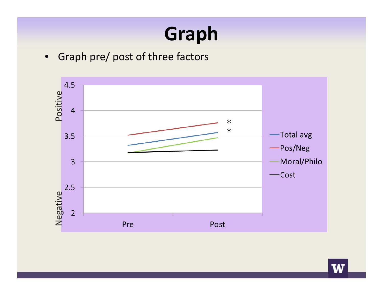# **Graph**

• Graph pre/ post of three factors

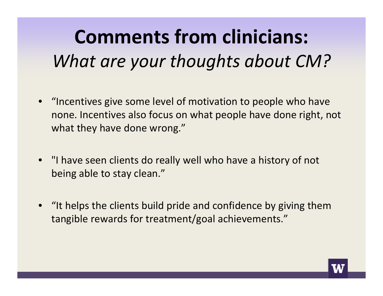# **Comments from clinicians:** *What are your thoughts about CM?*

- "Incentives give some level of motivation to people who have none. Incentives also focus on what people have done right, not what they have done wrong."
- "I have seen clients do really well who have <sup>a</sup> history of not being able to stay clean."
- "It helps the clients build pride and confidence by giving them tangible rewards for treatment/goal achievements."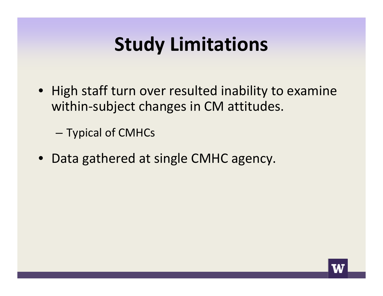## **Study Limitations**

• High staff turn over resulted inability to examine within-subject changes in CM attitudes.

– Typical of CMHCs

• Data gathered at single CMHC agency.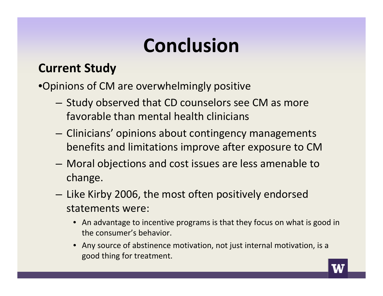# **Conclusion**

#### **Current Study**

•Opinions of CM are overwhelmingly positive

- Study observed that CD counselors see CM as more favorable than mental health clinicians
- Clinicians' opinions about contingency managements benefits and limitations improve after exposure to CM
- Moral objections and cost issues are less amenable to change.
- Like Kirby 2006, the most often positively endorsed statements were:
	- An advantage to incentive programs is that they focus on what is good in the consumer's behavior.
	- Any source of abstinence motivation, not just internal motivation, is <sup>a</sup> good thing for treatment.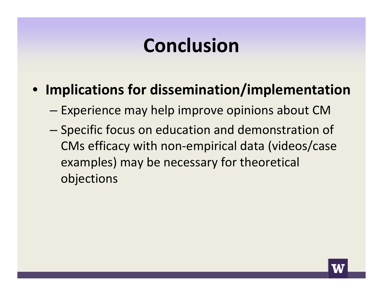## **Conclusion**

- **Implications for dissemination/implementation**
	- Experience may help improve opinions about CM
	- Specific focus on education and demonstration of CMs efficacy with non‐empirical data (videos/case examples) may be necessary for theoretical objections